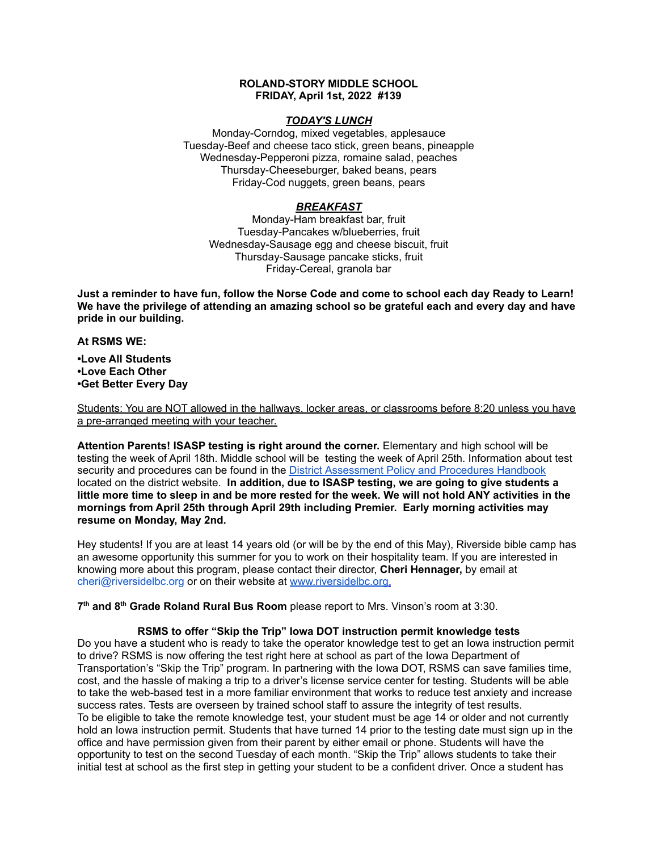## **ROLAND-STORY MIDDLE SCHOOL FRIDAY, April 1st, 2022 #139**

## *TODAY'S LUNCH*

Monday-Corndog, mixed vegetables, applesauce Tuesday-Beef and cheese taco stick, green beans, pineapple Wednesday-Pepperoni pizza, romaine salad, peaches Thursday-Cheeseburger, baked beans, pears Friday-Cod nuggets, green beans, pears

# *BREAKFAST*

Monday-Ham breakfast bar, fruit Tuesday-Pancakes w/blueberries, fruit Wednesday-Sausage egg and cheese biscuit, fruit Thursday-Sausage pancake sticks, fruit Friday-Cereal, granola bar

Just a reminder to have fun, follow the Norse Code and come to school each day Ready to Learn! **We have the privilege of attending an amazing school so be grateful each and every day and have pride in our building.**

#### **At RSMS WE:**

**•Love All Students •Love Each Other •Get Better Every Day**

Students: You are NOT allowed in the hallways, locker areas, or classrooms before 8:20 unless you have a pre-arranged meeting with your teacher.

**Attention Parents! ISASP testing is right around the corner.** Elementary and high school will be testing the week of April 18th. Middle school will be testing the week of April 25th. Information about test security and procedures can be found in the District [Assessment](https://rolandstory.school/media/Michelle%20Soderstrum/RSCSD_District_Assessment_Poli%20-%20Copy%203.pdf) Policy and Procedures Handbook located on the district website. **In addition, due to ISASP testing, we are going to give students a** little more time to sleep in and be more rested for the week. We will not hold ANY activities in the **mornings from April 25th through April 29th including Premier. Early morning activities may resume on Monday, May 2nd.**

Hey students! If you are at least 14 years old (or will be by the end of this May), Riverside bible camp has an awesome opportunity this summer for you to work on their hospitality team. If you are interested in knowing more about this program, please contact their director, **Cheri Hennager,** by email at cheri@riversidelbc.org or on their website at [www.riversidelbc.org.](http://www.riversidelbc.org/)

**7 th and 8 th Grade Roland Rural Bus Room** please report to Mrs. Vinson's room at 3:30.

## **RSMS to offer "Skip the Trip" Iowa DOT instruction permit knowledge tests**

Do you have a student who is ready to take the operator knowledge test to get an Iowa instruction permit to drive? RSMS is now offering the test right here at school as part of the Iowa Department of Transportation's "Skip the Trip" program. In partnering with the Iowa DOT, RSMS can save families time, cost, and the hassle of making a trip to a driver's license service center for testing. Students will be able to take the web-based test in a more familiar environment that works to reduce test anxiety and increase success rates. Tests are overseen by trained school staff to assure the integrity of test results. To be eligible to take the remote knowledge test, your student must be age 14 or older and not currently hold an Iowa instruction permit. Students that have turned 14 prior to the testing date must sign up in the office and have permission given from their parent by either email or phone. Students will have the opportunity to test on the second Tuesday of each month. "Skip the Trip" allows students to take their initial test at school as the first step in getting your student to be a confident driver. Once a student has